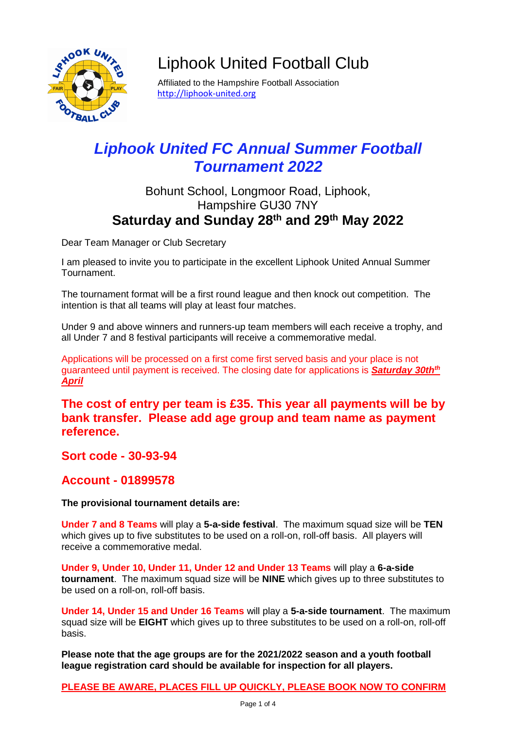

# Liphook United Football Club

Affiliated to the Hampshire Football Association [http://liphook-united.org](http://liphook-united.org/)

## *Liphook United FC Annual Summer Football Tournament 2022*

### Bohunt School, Longmoor Road, Liphook, Hampshire GU30 7NY **Saturday and Sunday 28th and 29th May 2022**

Dear Team Manager or Club Secretary

I am pleased to invite you to participate in the excellent Liphook United Annual Summer Tournament.

The tournament format will be a first round league and then knock out competition. The intention is that all teams will play at least four matches.

Under 9 and above winners and runners-up team members will each receive a trophy, and all Under 7 and 8 festival participants will receive a commemorative medal.

Applications will be processed on a first come first served basis and your place is not guaranteed until payment is received. The closing date for applications is *Saturday 30thth April*

**The cost of entry per team is £35. This year all payments will be by bank transfer. Please add age group and team name as payment reference.**

**Sort code - 30-93-94**

**Account - 01899578**

**The provisional tournament details are:**

**Under 7 and 8 Teams** will play a **5-a-side festival**. The maximum squad size will be **TEN** which gives up to five substitutes to be used on a roll-on, roll-off basis. All players will receive a commemorative medal.

**Under 9, Under 10, Under 11, Under 12 and Under 13 Teams** will play a **6-a-side tournament**. The maximum squad size will be **NINE** which gives up to three substitutes to be used on a roll-on, roll-off basis.

**Under 14, Under 15 and Under 16 Teams** will play a **5-a-side tournament**. The maximum squad size will be **EIGHT** which gives up to three substitutes to be used on a roll-on, roll-off basis.

**Please note that the age groups are for the 2021/2022 season and a youth football league registration card should be available for inspection for all players.**

**PLEASE BE AWARE, PLACES FILL UP QUICKLY, PLEASE BOOK NOW TO CONFIRM**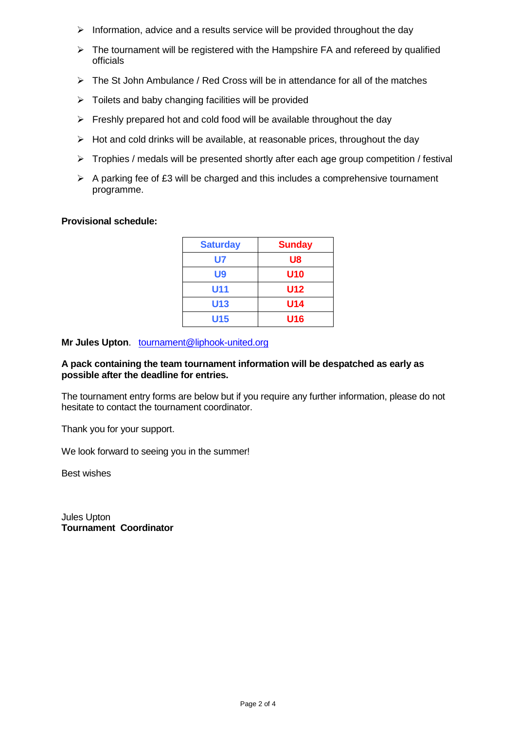- $\triangleright$  Information, advice and a results service will be provided throughout the day
- $\triangleright$  The tournament will be registered with the Hampshire FA and refereed by qualified officials
- $\triangleright$  The St John Ambulance / Red Cross will be in attendance for all of the matches
- $\triangleright$  Toilets and baby changing facilities will be provided
- $\triangleright$  Freshly prepared hot and cold food will be available throughout the day
- $\triangleright$  Hot and cold drinks will be available, at reasonable prices, throughout the day
- $\triangleright$  Trophies / medals will be presented shortly after each age group competition / festival
- $\triangleright$  A parking fee of £3 will be charged and this includes a comprehensive tournament programme.

#### **Provisional schedule:**

| <b>Saturday</b> | <b>Sunday</b> |
|-----------------|---------------|
| U7              | U8            |
| U9              | U10           |
| U11             | U12           |
| U13             | U14           |
| U15             | U16           |

#### **Mr Jules Upton**. [tournament@liphook-united.org](mailto:tournament%22liphook-united.org)

#### **A pack containing the team tournament information will be despatched as early as possible after the deadline for entries.**

The tournament entry forms are below but if you require any further information, please do not hesitate to contact the tournament coordinator.

Thank you for your support.

We look forward to seeing you in the summer!

Best wishes

Jules Upton **Tournament Coordinator**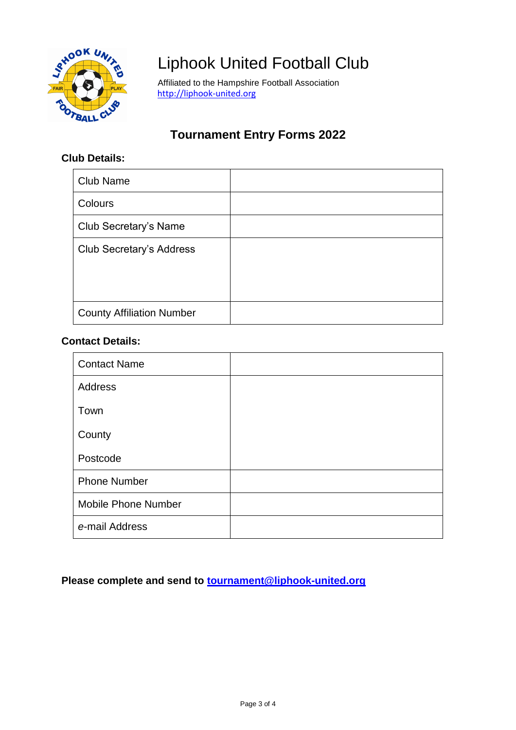

# Liphook United Football Club

Affiliated to the Hampshire Football Association [http://liphook-united.org](http://liphook-united.org/)

### **Tournament Entry Forms 2022**

### **Club Details:**

| <b>Club Name</b>                 |  |
|----------------------------------|--|
| Colours                          |  |
| Club Secretary's Name            |  |
| <b>Club Secretary's Address</b>  |  |
| <b>County Affiliation Number</b> |  |

#### **Contact Details:**

| <b>Contact Name</b>        |  |
|----------------------------|--|
| Address                    |  |
| Town                       |  |
| County                     |  |
| Postcode                   |  |
| <b>Phone Number</b>        |  |
| <b>Mobile Phone Number</b> |  |
| e-mail Address             |  |

**Please complete and send to [tournament@liphook-united.org](mailto:tournament@liphook-united.org)**